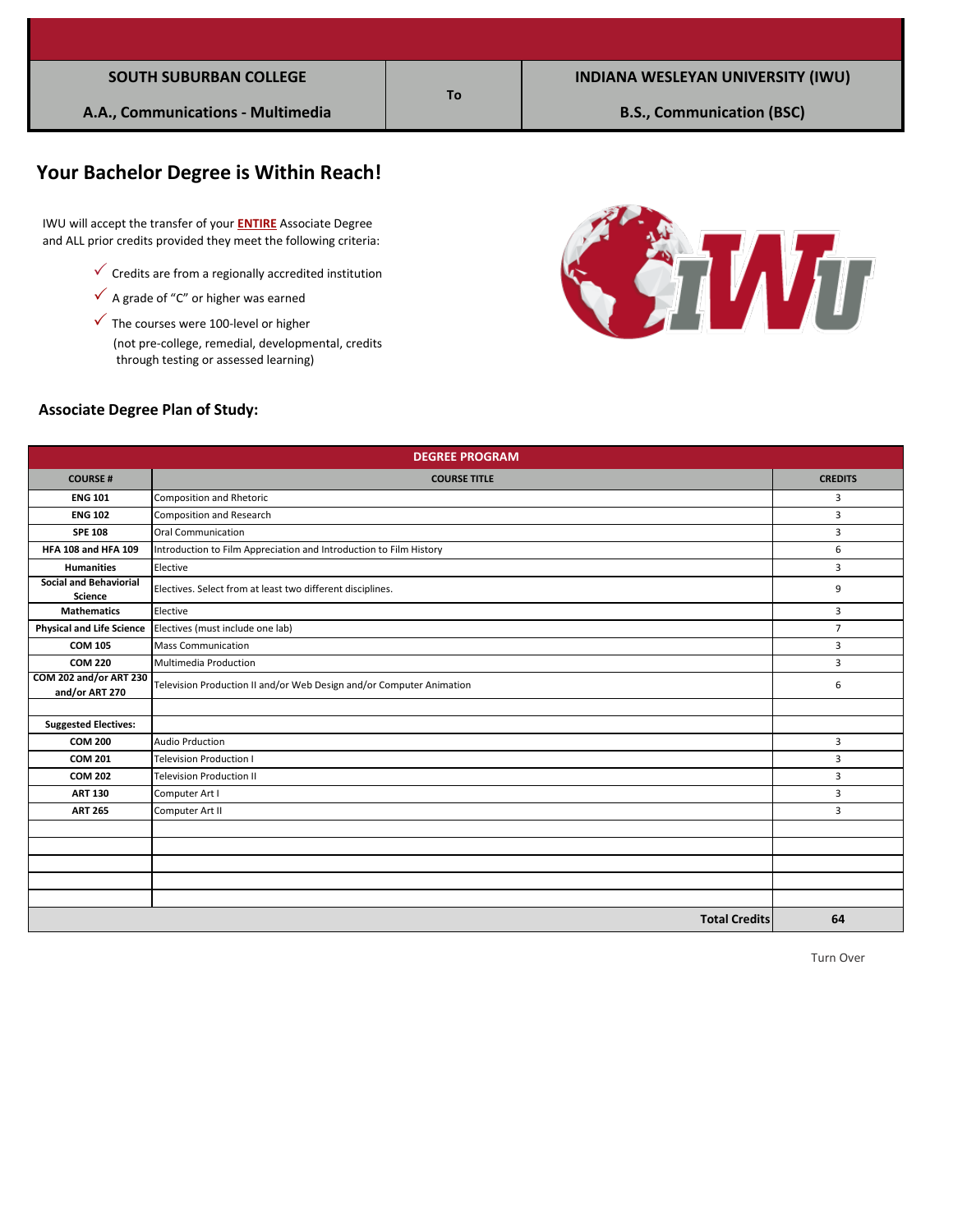# **Your Bachelor Degree is Within Reach!**

 IWU will accept the transfer of your **ENTIRE** Associate Degree and ALL prior credits provided they meet the following criteria:

- $\checkmark$  Credits are from a regionally accredited institution
- $\checkmark$  A grade of "C" or higher was earned
- (not pre-college, remedial, developmental, credits  $\checkmark$  The courses were 100-level or higher through testing or assessed learning)



#### **Associate Degree Plan of Study:**

| <b>DEGREE PROGRAM</b>                           |                                                                      |                |  |  |
|-------------------------------------------------|----------------------------------------------------------------------|----------------|--|--|
| <b>COURSE#</b>                                  | <b>COURSE TITLE</b>                                                  | <b>CREDITS</b> |  |  |
| <b>ENG 101</b>                                  | Composition and Rhetoric                                             | 3              |  |  |
| <b>ENG 102</b>                                  | <b>Composition and Research</b>                                      | 3              |  |  |
| <b>SPE 108</b>                                  | <b>Oral Communication</b>                                            | $\mathbf{3}$   |  |  |
| <b>HFA 108 and HFA 109</b>                      | Introduction to Film Appreciation and Introduction to Film History   | 6              |  |  |
| <b>Humanities</b>                               | Elective                                                             | 3              |  |  |
| <b>Social and Behaviorial</b><br><b>Science</b> | Electives. Select from at least two different disciplines.           | 9              |  |  |
| <b>Mathematics</b>                              | Elective                                                             | 3              |  |  |
| <b>Physical and Life Science</b>                | Electives (must include one lab)                                     | $\overline{7}$ |  |  |
| <b>COM 105</b>                                  | <b>Mass Communication</b>                                            | 3              |  |  |
| <b>COM 220</b>                                  | Multimedia Production                                                | $\mathbf{3}$   |  |  |
| COM 202 and/or ART 230<br>and/or ART 270        | Television Production II and/or Web Design and/or Computer Animation | 6              |  |  |
|                                                 |                                                                      |                |  |  |
| <b>Suggested Electives:</b>                     |                                                                      |                |  |  |
| <b>COM 200</b>                                  | <b>Audio Prduction</b>                                               | 3              |  |  |
| <b>COM 201</b>                                  | <b>Television Production I</b>                                       | 3              |  |  |
| <b>COM 202</b>                                  | <b>Television Production II</b>                                      | 3              |  |  |
| <b>ART 130</b>                                  | Computer Art I                                                       | $\mathbf{3}$   |  |  |
| <b>ART 265</b>                                  | Computer Art II                                                      | 3              |  |  |
|                                                 |                                                                      |                |  |  |
|                                                 |                                                                      |                |  |  |
|                                                 |                                                                      |                |  |  |
|                                                 |                                                                      |                |  |  |
|                                                 |                                                                      |                |  |  |
|                                                 | <b>Total Credits</b>                                                 | 64             |  |  |

**To**